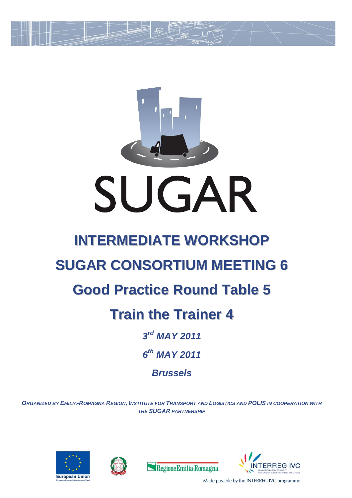

*Brussels*

*ORGANIZED BY EMILIA-ROMAGNA REGION, INSTITUTE FOR TRANSPORT AND LOGISTICS AND POLIS IN COOPERATION WITH THE SUGAR PARTNERSHIP*







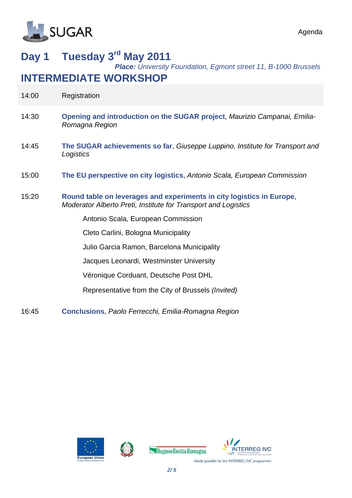

#### Agenda

## **Day 1 Tuesday 3 rd May 2011**

*Place: University Foundation, Egmont street 11, B-1000 Brussels*

### **INTERMEDIATE WORKSHOP**

| 14:00 | Registration                                                                                                                            |
|-------|-----------------------------------------------------------------------------------------------------------------------------------------|
| 14:30 | Opening and introduction on the SUGAR project, Maurizio Campanai, Emilia-<br>Romagna Region                                             |
| 14:45 | The SUGAR achievements so far, Giuseppe Luppino, Institute for Transport and<br>Logistics                                               |
| 15:00 | The EU perspective on city logistics, Antonio Scala, European Commission                                                                |
| 15:20 | Round table on leverages and experiments in city logistics in Europe,<br>Moderator Alberto Preti, Institute for Transport and Logistics |
|       | Antonio Scala, European Commission                                                                                                      |
|       | Cleto Carlini, Bologna Municipality                                                                                                     |
|       | Julio Garcia Ramon, Barcelona Municipality                                                                                              |
|       | Jacques Leonardi, Westminster University                                                                                                |
|       | Véronique Corduant, Deutsche Post DHL                                                                                                   |
|       | Representative from the City of Brussels (Invited)                                                                                      |
| 16:45 | <b>Conclusions, Paolo Ferrecchi, Emilia-Romagna Region</b>                                                                              |







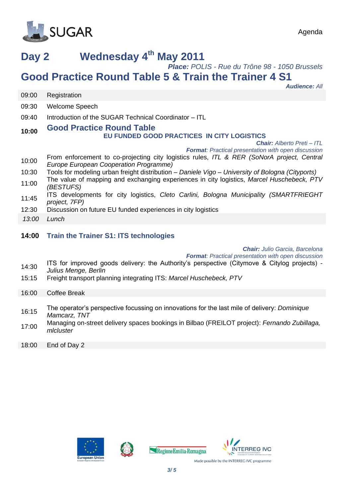

# **Day 2 Wednesday 4 th May 2011**

*Place: POLIS - Rue du Trône 98 - 1050 Brussels*

### **Good Practice Round Table 5 & Train the Trainer 4 S1**

*Audience: All*

|       | <b>Auglence: All</b>                                                                                                                 |
|-------|--------------------------------------------------------------------------------------------------------------------------------------|
| 09:00 | Registration                                                                                                                         |
| 09:30 | <b>Welcome Speech</b>                                                                                                                |
| 09:40 | Introduction of the SUGAR Technical Coordinator - ITL                                                                                |
| 10:00 | <b>Good Practice Round Table</b><br>EU FUNDED GOOD PRACTICES IN CITY LOGISTICS                                                       |
|       | <b>Chair:</b> Alberto Preti - ITL<br><b>Format:</b> Practical presentation with open discussion                                      |
| 10:00 | From enforcement to co-projecting city logistics rules, ITL & RER (SoNorA project, Central<br>Europe European Cooperation Programme) |
| 10:30 | Tools for modeling urban freight distribution – Daniele Vigo – University of Bologna (Cityports)                                     |
| 11:00 | The value of mapping and exchanging experiences in city logistics, Marcel Huschebeck, PTV<br>(BESTUFS)                               |
| 11:45 | ITS developments for city logistics, Cleto Carlini, Bologna Municipality (SMARTFRIEGHT<br>project, 7FP)                              |
| 12:30 | Discussion on future EU funded experiences in city logistics                                                                         |
| 13:00 | Lunch                                                                                                                                |
| 14:00 | <b>Train the Trainer S1: ITS technologies</b>                                                                                        |
|       | <b>Chair:</b> Julio Garcia, Barcelona<br><b>Format:</b> Practical presentation with open discussion                                  |
| 14:30 | ITS for improved goods delivery: the Authority's perspective (Citymove & Citylog projects) -<br>Lulius Monas Dorlin                  |

- *Julius Menge, Berlin*
- 15:15 Freight transport planning integrating ITS: *Marcel Huschebeck, PTV*

| 16:00 | <b>Coffee Break</b> |  |
|-------|---------------------|--|
|       |                     |  |

- 16:15 The operator's perspective focussing on innovations for the last mile of delivery: *Dominique Mamcarz, TNT*
- 17:00 Managing on-street delivery spaces bookings in Bilbao (FREILOT project): *Fernando Zubillaga, mlcluster*
- 18:00 End of Day 2